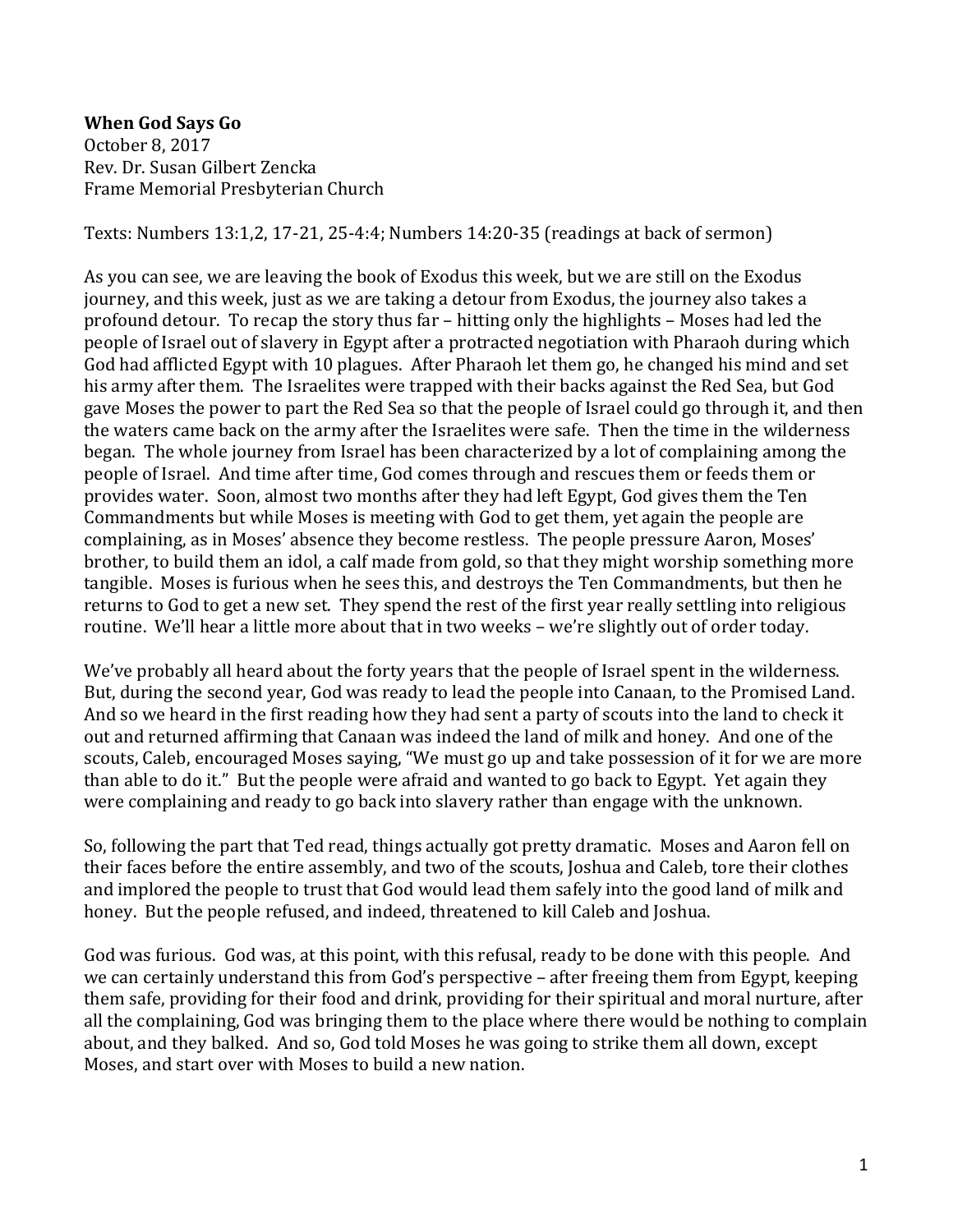## **When God Says Go**

October 8, 2017 Rev. Dr. Susan Gilbert Zencka Frame Memorial Presbyterian Church

Texts: Numbers 13:1,2, 17-21, 25-4:4; Numbers 14:20-35 (readings at back of sermon)

As you can see, we are leaving the book of Exodus this week, but we are still on the Exodus journey, and this week, just as we are taking a detour from Exodus, the journey also takes a profound detour. To recap the story thus far – hitting only the highlights – Moses had led the people of Israel out of slavery in Egypt after a protracted negotiation with Pharaoh during which God had afflicted Egypt with 10 plagues. After Pharaoh let them go, he changed his mind and set his army after them. The Israelites were trapped with their backs against the Red Sea, but God gave Moses the power to part the Red Sea so that the people of Israel could go through it, and then the waters came back on the army after the Israelites were safe. Then the time in the wilderness began. The whole journey from Israel has been characterized by a lot of complaining among the people of Israel. And time after time, God comes through and rescues them or feeds them or provides water. Soon, almost two months after they had left Egypt, God gives them the Ten Commandments but while Moses is meeting with God to get them, yet again the people are complaining, as in Moses' absence they become restless. The people pressure Aaron, Moses' brother, to build them an idol, a calf made from gold, so that they might worship something more tangible. Moses is furious when he sees this, and destroys the Ten Commandments, but then he returns to God to get a new set. They spend the rest of the first year really settling into religious routine. We'll hear a little more about that in two weeks – we're slightly out of order today.

We've probably all heard about the forty years that the people of Israel spent in the wilderness. But, during the second year, God was ready to lead the people into Canaan, to the Promised Land. And so we heard in the first reading how they had sent a party of scouts into the land to check it out and returned affirming that Canaan was indeed the land of milk and honey. And one of the scouts, Caleb, encouraged Moses saying, "We must go up and take possession of it for we are more than able to do it." But the people were afraid and wanted to go back to Egypt. Yet again they were complaining and ready to go back into slavery rather than engage with the unknown.

So, following the part that Ted read, things actually got pretty dramatic. Moses and Aaron fell on their faces before the entire assembly, and two of the scouts, Joshua and Caleb, tore their clothes and implored the people to trust that God would lead them safely into the good land of milk and honey. But the people refused, and indeed, threatened to kill Caleb and Joshua.

God was furious. God was, at this point, with this refusal, ready to be done with this people. And we can certainly understand this from God's perspective – after freeing them from Egypt, keeping them safe, providing for their food and drink, providing for their spiritual and moral nurture, after all the complaining, God was bringing them to the place where there would be nothing to complain about, and they balked. And so, God told Moses he was going to strike them all down, except Moses, and start over with Moses to build a new nation.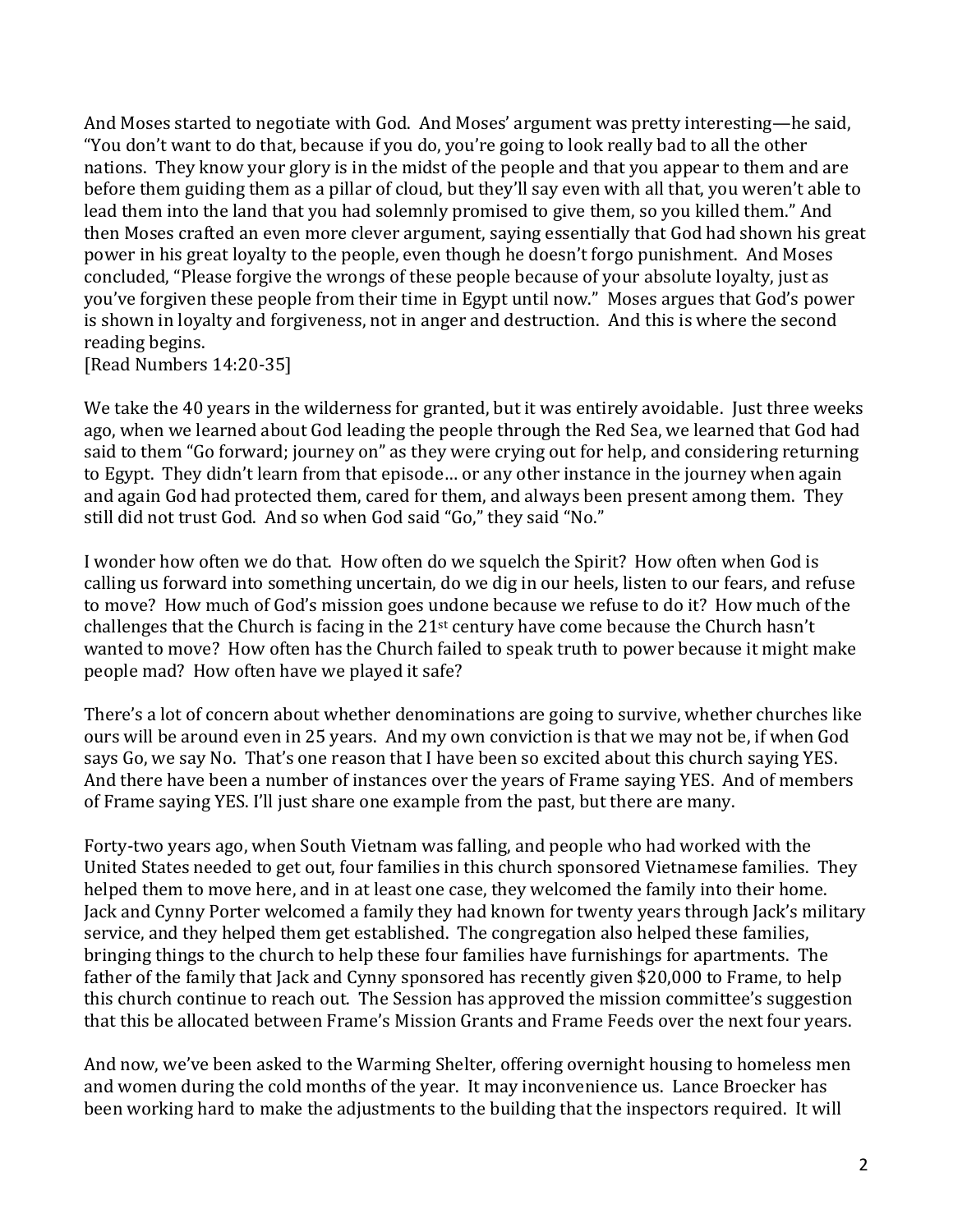And Moses started to negotiate with God. And Moses' argument was pretty interesting—he said, "You don't want to do that, because if you do, you're going to look really bad to all the other nations. They know your glory is in the midst of the people and that you appear to them and are before them guiding them as a pillar of cloud, but they'll say even with all that, you weren't able to lead them into the land that you had solemnly promised to give them, so you killed them." And then Moses crafted an even more clever argument, saying essentially that God had shown his great power in his great loyalty to the people, even though he doesn't forgo punishment. And Moses concluded, "Please forgive the wrongs of these people because of your absolute loyalty, just as you've forgiven these people from their time in Egypt until now." Moses argues that God's power is shown in loyalty and forgiveness, not in anger and destruction. And this is where the second reading begins.

[Read Numbers 14:20-35]

We take the 40 years in the wilderness for granted, but it was entirely avoidable. Just three weeks ago, when we learned about God leading the people through the Red Sea, we learned that God had said to them "Go forward; journey on" as they were crying out for help, and considering returning to Egypt. They didn't learn from that episode… or any other instance in the journey when again and again God had protected them, cared for them, and always been present among them. They still did not trust God. And so when God said "Go," they said "No."

I wonder how often we do that. How often do we squelch the Spirit? How often when God is calling us forward into something uncertain, do we dig in our heels, listen to our fears, and refuse to move? How much of God's mission goes undone because we refuse to do it? How much of the challenges that the Church is facing in the 21st century have come because the Church hasn't wanted to move? How often has the Church failed to speak truth to power because it might make people mad? How often have we played it safe?

There's a lot of concern about whether denominations are going to survive, whether churches like ours will be around even in 25 years. And my own conviction is that we may not be, if when God says Go, we say No. That's one reason that I have been so excited about this church saying YES. And there have been a number of instances over the years of Frame saying YES. And of members of Frame saying YES. I'll just share one example from the past, but there are many.

Forty-two years ago, when South Vietnam was falling, and people who had worked with the United States needed to get out, four families in this church sponsored Vietnamese families. They helped them to move here, and in at least one case, they welcomed the family into their home. Jack and Cynny Porter welcomed a family they had known for twenty years through Jack's military service, and they helped them get established. The congregation also helped these families, bringing things to the church to help these four families have furnishings for apartments. The father of the family that Jack and Cynny sponsored has recently given \$20,000 to Frame, to help this church continue to reach out. The Session has approved the mission committee's suggestion that this be allocated between Frame's Mission Grants and Frame Feeds over the next four years.

And now, we've been asked to the Warming Shelter, offering overnight housing to homeless men and women during the cold months of the year. It may inconvenience us. Lance Broecker has been working hard to make the adjustments to the building that the inspectors required. It will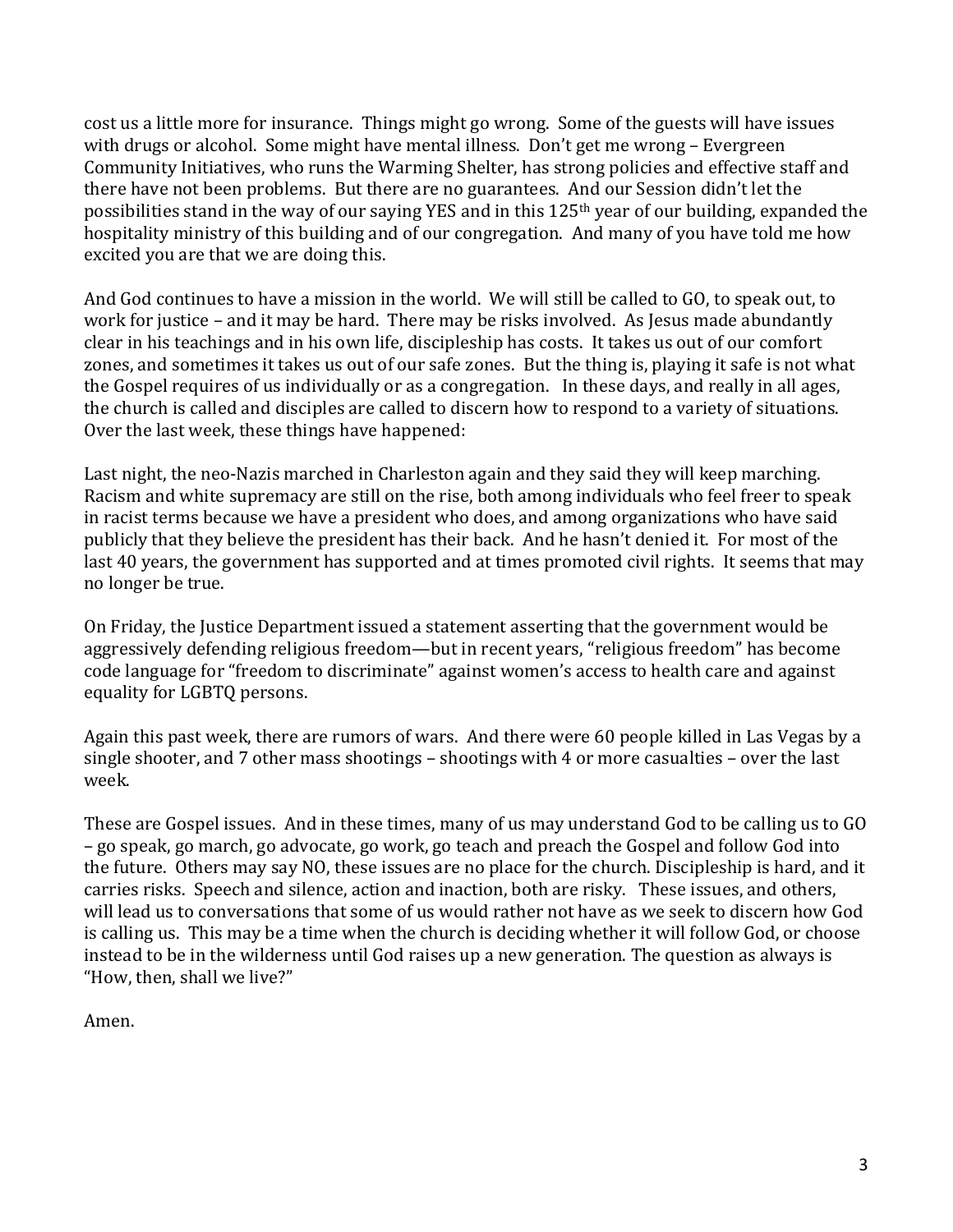cost us a little more for insurance. Things might go wrong. Some of the guests will have issues with drugs or alcohol. Some might have mental illness. Don't get me wrong – Evergreen Community Initiatives, who runs the Warming Shelter, has strong policies and effective staff and there have not been problems. But there are no guarantees. And our Session didn't let the possibilities stand in the way of our saying YES and in this 125th year of our building, expanded the hospitality ministry of this building and of our congregation. And many of you have told me how excited you are that we are doing this.

And God continues to have a mission in the world. We will still be called to GO, to speak out, to work for justice – and it may be hard. There may be risks involved. As Jesus made abundantly clear in his teachings and in his own life, discipleship has costs. It takes us out of our comfort zones, and sometimes it takes us out of our safe zones. But the thing is, playing it safe is not what the Gospel requires of us individually or as a congregation. In these days, and really in all ages, the church is called and disciples are called to discern how to respond to a variety of situations. Over the last week, these things have happened:

Last night, the neo-Nazis marched in Charleston again and they said they will keep marching. Racism and white supremacy are still on the rise, both among individuals who feel freer to speak in racist terms because we have a president who does, and among organizations who have said publicly that they believe the president has their back. And he hasn't denied it. For most of the last 40 years, the government has supported and at times promoted civil rights. It seems that may no longer be true.

On Friday, the Justice Department issued a statement asserting that the government would be aggressively defending religious freedom—but in recent years, "religious freedom" has become code language for "freedom to discriminate" against women's access to health care and against equality for LGBTQ persons.

Again this past week, there are rumors of wars. And there were 60 people killed in Las Vegas by a single shooter, and 7 other mass shootings – shootings with 4 or more casualties – over the last week.

These are Gospel issues. And in these times, many of us may understand God to be calling us to GO – go speak, go march, go advocate, go work, go teach and preach the Gospel and follow God into the future. Others may say NO, these issues are no place for the church. Discipleship is hard, and it carries risks. Speech and silence, action and inaction, both are risky. These issues, and others, will lead us to conversations that some of us would rather not have as we seek to discern how God is calling us. This may be a time when the church is deciding whether it will follow God, or choose instead to be in the wilderness until God raises up a new generation. The question as always is "How, then, shall we live?"

Amen.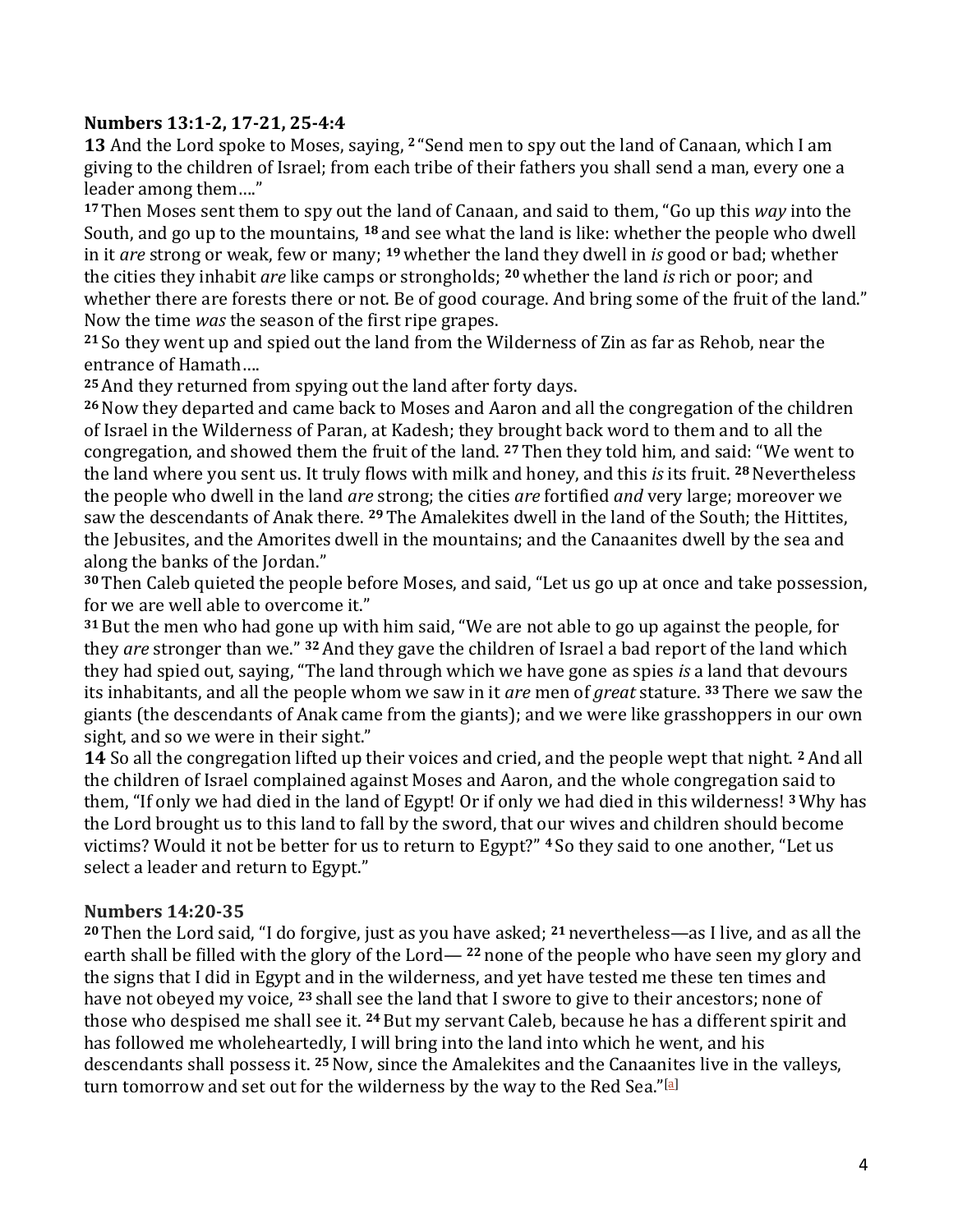## **Numbers 13:1-2, 17-21, 25-4:4**

**13** And the Lord spoke to Moses, saying, **<sup>2</sup>** "Send men to spy out the land of Canaan, which I am giving to the children of Israel; from each tribe of their fathers you shall send a man, every one a leader among them…."

**<sup>17</sup>** Then Moses sent them to spy out the land of Canaan, and said to them, "Go up this *way* into the South, and go up to the mountains, **<sup>18</sup>** and see what the land is like: whether the people who dwell in it *are* strong or weak, few or many; **<sup>19</sup>**whether the land they dwell in *is* good or bad; whether the cities they inhabit *are* like camps or strongholds; **<sup>20</sup>** whether the land *is* rich or poor; and whether there are forests there or not. Be of good courage. And bring some of the fruit of the land." Now the time *was* the season of the first ripe grapes.

**<sup>21</sup>** So they went up and spied out the land from the Wilderness of Zin as far as Rehob, near the entrance of Hamath….

**<sup>25</sup>**And they returned from spying out the land after forty days.

**<sup>26</sup>**Now they departed and came back to Moses and Aaron and all the congregation of the children of Israel in the Wilderness of Paran, at Kadesh; they brought back word to them and to all the congregation, and showed them the fruit of the land. **<sup>27</sup>**Then they told him, and said: "We went to the land where you sent us. It truly flows with milk and honey, and this *is* its fruit. **<sup>28</sup>**Nevertheless the people who dwell in the land *are* strong; the cities *are* fortified *and* very large; moreover we saw the descendants of Anak there. **<sup>29</sup>** The Amalekites dwell in the land of the South; the Hittites, the Jebusites, and the Amorites dwell in the mountains; and the Canaanites dwell by the sea and along the banks of the Jordan."

**<sup>30</sup>** Then Caleb quieted the people before Moses, and said, "Let us go up at once and take possession, for we are well able to overcome it."

**<sup>31</sup>** But the men who had gone up with him said, "We are not able to go up against the people, for they *are* stronger than we." **<sup>32</sup>** And they gave the children of Israel a bad report of the land which they had spied out, saying, "The land through which we have gone as spies *is* a land that devours its inhabitants, and all the people whom we saw in it *are* men of *great* stature. **<sup>33</sup>** There we saw the giants (the descendants of Anak came from the giants); and we were like grasshoppers in our own sight, and so we were in their sight."

**14** So all the congregation lifted up their voices and cried, and the people wept that night. **<sup>2</sup>**And all the children of Israel complained against Moses and Aaron, and the whole congregation said to them, "If only we had died in the land of Egypt! Or if only we had died in this wilderness! **<sup>3</sup>**Why has the Lord brought us to this land to fall by the sword, that our wives and children should become victims? Would it not be better for us to return to Egypt?" **<sup>4</sup>** So they said to one another, "Let us select a leader and return to Egypt."

## **Numbers 14:20-35**

**<sup>20</sup>** Then the Lord said, "I do forgive, just as you have asked; **<sup>21</sup>** nevertheless—as I live, and as all the earth shall be filled with the glory of the Lord— **<sup>22</sup>** none of the people who have seen my glory and the signs that I did in Egypt and in the wilderness, and yet have tested me these ten times and have not obeyed my voice, **<sup>23</sup>** shall see the land that I swore to give to their ancestors; none of those who despised me shall see it. **<sup>24</sup>** But my servant Caleb, because he has a different spirit and has followed me wholeheartedly, I will bring into the land into which he went, and his descendants shall possess it. **<sup>25</sup>**Now, since the Amalekites and the Canaanites live in the valleys, turn tomorrow and set out for the wilderness by the way to the Red Sea."[\[a\]](https://www.biblegateway.com/passage/?search=Numbers+14%3A20-35&version=NRSV#fen-NRSV-4134a)